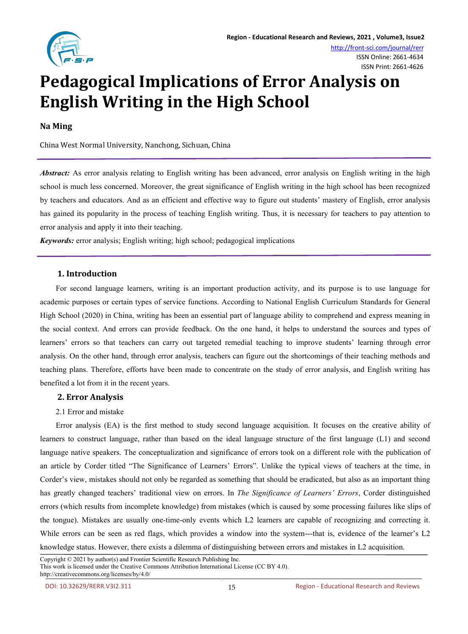

# **Pedagogical Implications of Error Analysis on English Writing in the High School**

**Na Ming**

China West Normal University, Nanchong, Sichuan, China

*Abstract:* As error analysis relating to English writing has been advanced, error analysis on English writing in the high school is much less concerned. Moreover, the great significance of English writing in the high school has been recognized by teachers and educators. And as an efficient and effective way to figure out students' mastery of English,error analysis has gained its popularity in the process of teaching English writing. Thus, it is necessary for teachers to pay attention to error analysis and apply it into their teaching.

*Keywords:* error analysis; English writing; high school; pedagogical implications

# **1. Introduction**

For second language learners, writing is an important production activity, and its purpose is to use language for academic purposes or certain types of service functions. According to National English Curriculum Standards for General High School (2020) in China, writing has been an essential part of language ability to comprehend and express meaning in the social context. And errors can provide feedback. On the one hand, it helps to understand the sources and types of learners' errors so that teachers can carry out targeted remedial teaching to improve students' learning through error analysis. On the other hand, through error analysis, teachers can figure outthe shortcomings of their teaching methods and teaching plans. Therefore, efforts have been made to concentrate on the study of error analysis, and English writing has benefited a lot from it in the recent years.

# **2. Error Analysis**

## 2.1 Error and mistake

Error analysis (EA) is the first method to study second language acquisition. It focuses on the creative ability of learners to construct language, rather than based on the ideal language structure of the first language (L1) and second language native speakers. The conceptualization and significance of errors took on a different role with the publication of an article by Corder titled "The Significance of Learners' Errors". Unlike the typical views of teachers at the time, in Corder's view, mistakes should not only be regarded as something that should be eradicated, but also as an importantthing has greatly changed teachers' traditional view on errors. In *The Significance of Learners' Errors*, Corder distinguished errors (which results from incomplete knowledge) from mistakes (which is caused by some processing failures like slips of the tongue).Mistakes are usually one-time-only events which L2 learners are capable of recognizing and correcting it. While errors can be seen as red flags, which provides a window into the system---that is, evidence of the learner's L2 knowledge status. However, there exists a dilemma of distinguishing between errors and mistakes in L2 acquisition.

Copyright © 2021 by author(s) and Frontier Scientific Research Publishing Inc. This work is licensed under the Creative Commons Attribution International License (CC BY 4.0). http://creativecommons.org/licenses/by/4.0/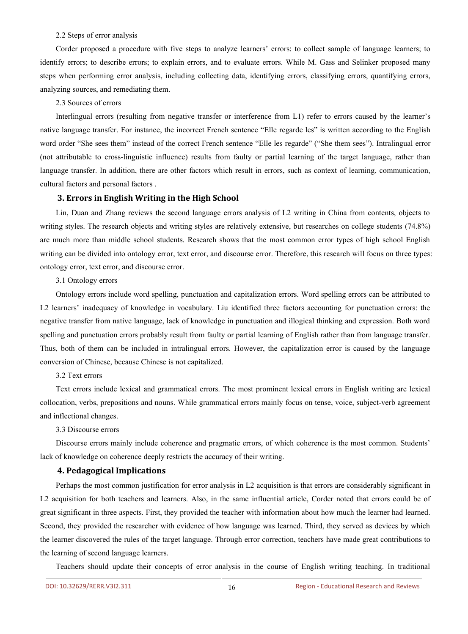#### 2.2 Steps of error analysis

Corder proposed a procedure with five steps to analyze learners' errors: to collect sample of language learners; to identify errors; to describe errors; to explain errors, and to evaluate errors. While M. Gass and Selinker proposed many steps when performing error analysis, including collecting data, identifying errors, classifying errors, quantifying errors, analyzing sources, and remediating them.

## 2.3 Sources of errors

Interlingual errors (resulting from negative transfer or interference from L1) refer to errors caused by the learner's native language transfer. For instance, the incorrect French sentence "Elle regarde les" is written according to the English word order "She sees them" instead of the correct French sentence "Elle les regarde" ("She them sees"). Intralingual error (not attributable to cross-linguistic influence) results from faulty or partiallearning of the target language, rather than language transfer. In addition, there are other factors which result in errors, such as context of learning, communication, cultural factors and personal factors .

## **3. Errors in English Writing in the High School**

Lin, Duan and Zhang reviews the second language errors analysis of L2 writing in China from contents, objects to writing styles. The research objects and writing styles are relatively extensive, but researches on college students (74.8%) are much more than middle school students. Research shows that the most common error types of high school English writing can be divided into ontology error, text error, and discourse error. Therefore, this research will focus on three types: ontology error, texterror, and discourse error.

#### 3.1 Ontology errors

Ontology errors include word spelling, punctuation and capitalization errors. Word spelling errors can be attributed to L2 learners' inadequacy of knowledge in vocabulary. Liu identified three factors accounting for punctuation errors: the negative transfer from native language, lack of knowledge in punctuation and illogical thinking and expression. Both word spelling and punctuation errors probably result from faulty or partial learning of English rather than from language transfer. Thus, both of them can be included in intralingual errors. However, the capitalization error is caused by the language conversion of Chinese, because Chinese is not capitalized.

#### 3.2 Text errors

Text errors include lexical and grammatical errors. The most prominent lexical errors in English writing are lexical collocation, verbs, prepositions and nouns. While grammatical errors mainly focus on tense, voice, subject-verb agreement and inflectional changes.

#### 3.3 Discourse errors

Discourse errors mainly include coherence and pragmatic errors, of which coherence is the most common. Students' lack of knowledge on coherence deeply restricts the accuracy of their writing.

#### **4. Pedagogical Implications**

Perhaps the most common justification for error analysis in L2 acquisition is that errors are considerably significant in L2 acquisition for both teachers and learners. Also, in the same influential article, Corder noted that errors could be of great significant in three aspects. First, they provided the teacher with information about how much the learner had learned. Second, they provided the researcher with evidence of how language was learned. Third, they served as devices by which the learner discovered the rules of the target language. Through error correction, teachers have made great contributions to the learning of second language learners.<br>Teachers should update their concepts of error analysis in the course of English writing teaching. In traditional